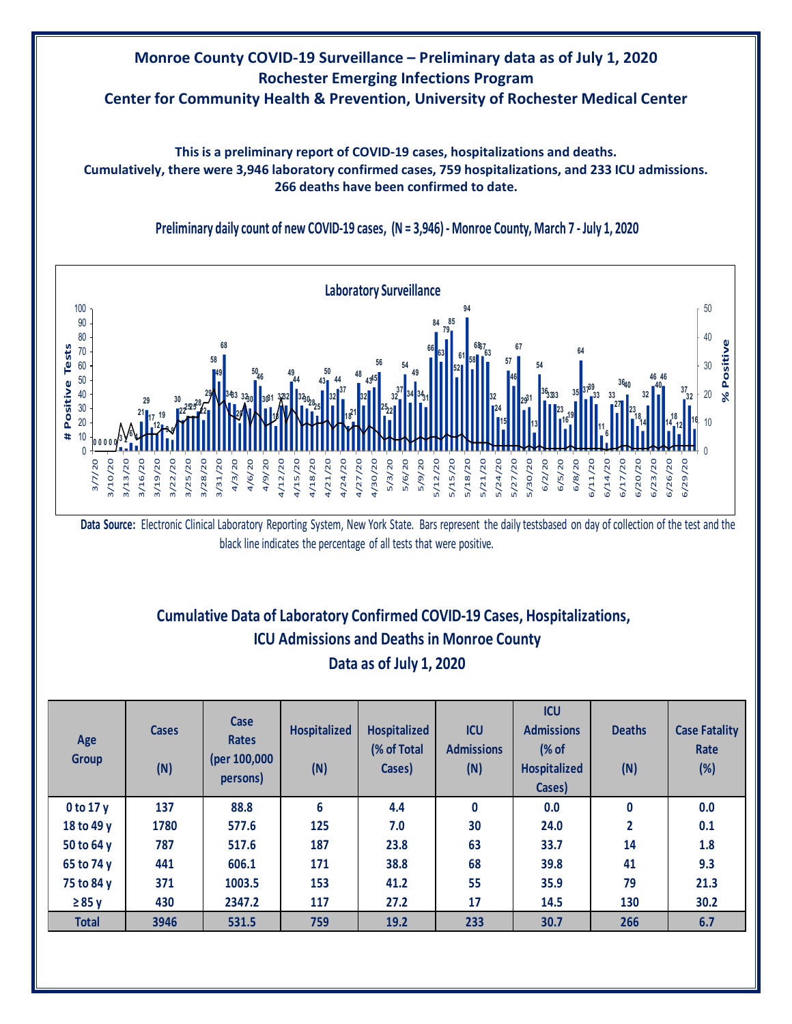# **Monroe County COVID-19 Surveillance – Preliminary data as of July 1, 2020 Rochester Emerging Infections Program Center for Community Health & Prevention, University of Rochester Medical Center**

**This is a preliminary report of COVID-19 cases, hospitalizations and deaths. Cumulatively, there were 3,946 laboratory confirmed cases, 759 hospitalizations, and 233 ICU admissions. 266 deaths have been confirmed to date.**



**Preliminary daily count of new COVID-19 cases, (N = 3,946) - Monroe County, March 7 - July 1, 2020**

Data Source: Electronic Clinical Laboratory Reporting System, New York State. Bars represent the daily testsbased on day of collection of the test and the black line indicates the percentage of all tests that were positive.

## **Cumulative Data of Laboratory Confirmed COVID-19 Cases, Hospitalizations, Data as of July 1, 2020 ICU Admissions and Deaths in Monroe County**

| Age<br><b>Group</b> | <b>Cases</b><br>(N) | Case<br><b>Rates</b><br>(per 100,000<br>persons) | <b>Hospitalized</b><br>(N) | <b>Hospitalized</b><br>(% of Total<br>Cases) | <b>ICU</b><br><b>Admissions</b><br>(N) | <b>ICU</b><br><b>Admissions</b><br>$\frac{8}{3}$ of<br><b>Hospitalized</b><br>Cases) | <b>Deaths</b><br>(N) | <b>Case Fatality</b><br>Rate<br>(%) |
|---------------------|---------------------|--------------------------------------------------|----------------------------|----------------------------------------------|----------------------------------------|--------------------------------------------------------------------------------------|----------------------|-------------------------------------|
| $0$ to 17 y         | 137                 | 88.8                                             | 6                          | 4.4                                          | 0                                      | 0.0                                                                                  | 0                    | 0.0                                 |
| 18 to 49 y          | 1780                | 577.6                                            | 125                        | 7.0                                          | 30                                     | 24.0                                                                                 | 2                    | 0.1                                 |
| 50 to 64 y          | 787                 | 517.6                                            | 187                        | 23.8                                         | 63                                     | 33.7                                                                                 | 14                   | 1.8                                 |
| 65 to 74 y          | 441                 | 606.1                                            | 171                        | 38.8                                         | 68                                     | 39.8                                                                                 | 41                   | 9.3                                 |
| 75 to 84 y          | 371                 | 1003.5                                           | 153                        | 41.2                                         | 55                                     | 35.9                                                                                 | 79                   | 21.3                                |
| $\geq 85$ y         | 430                 | 2347.2                                           | 117                        | 27.2                                         | 17                                     | 14.5                                                                                 | 130                  | 30.2                                |
| <b>Total</b>        | 3946                | 531.5                                            | 759                        | 19.2                                         | 233                                    | 30.7                                                                                 | 266                  | 6.7                                 |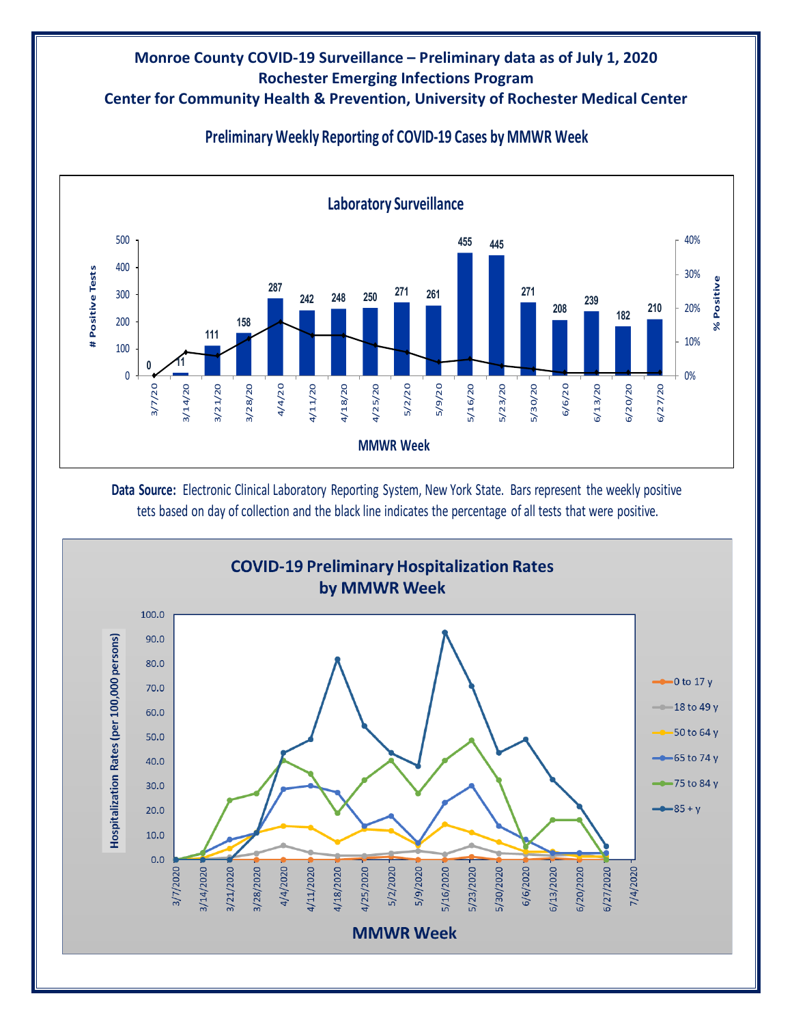### **Monroe County COVID-19 Surveillance – Preliminary data as of July 1, 2020 Rochester Emerging Infections Program Center for Community Health & Prevention, University of Rochester Medical Center**



**Preliminary Weekly Reporting of COVID-19 Cases by MMWR Week**

**Data Source:** Electronic Clinical Laboratory Reporting System, New York State. Bars represent the weekly positive tets based on day of collection and the black line indicates the percentage of all tests that were positive.